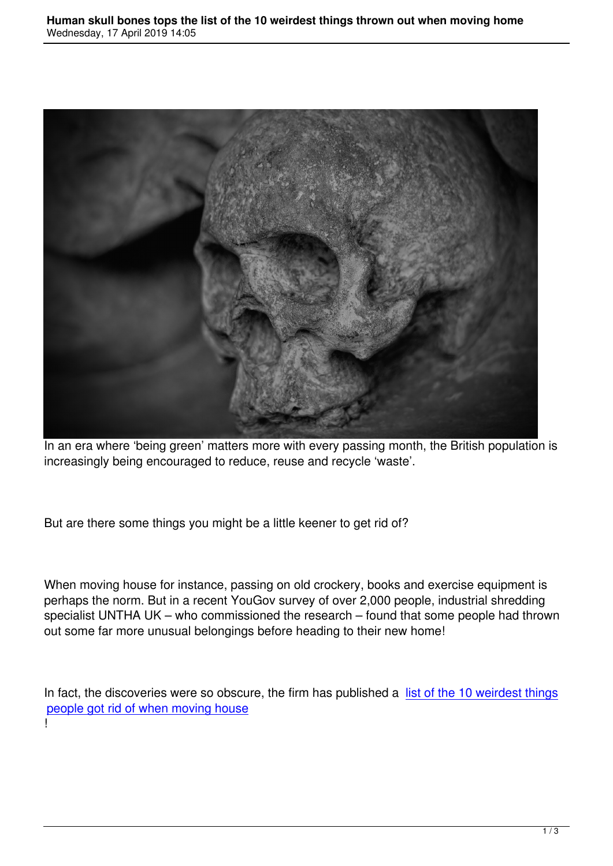

In an era where 'being green' matters more with every passing month, the British population is increasingly being encouraged to reduce, reuse and recycle 'waste'.

But are there some things you might be a little keener to get rid of?

When moving house for instance, passing on old crockery, books and exercise equipment is perhaps the norm. But in a recent YouGov survey of over 2,000 people, industrial shredding specialist UNTHA UK – who commissioned the research – found that some people had thrown out some far more unusual belongings before heading to their new home!

In fact, the discoveries were so obscure, the firm has published a list of the 10 weirdest things people got rid of when moving house !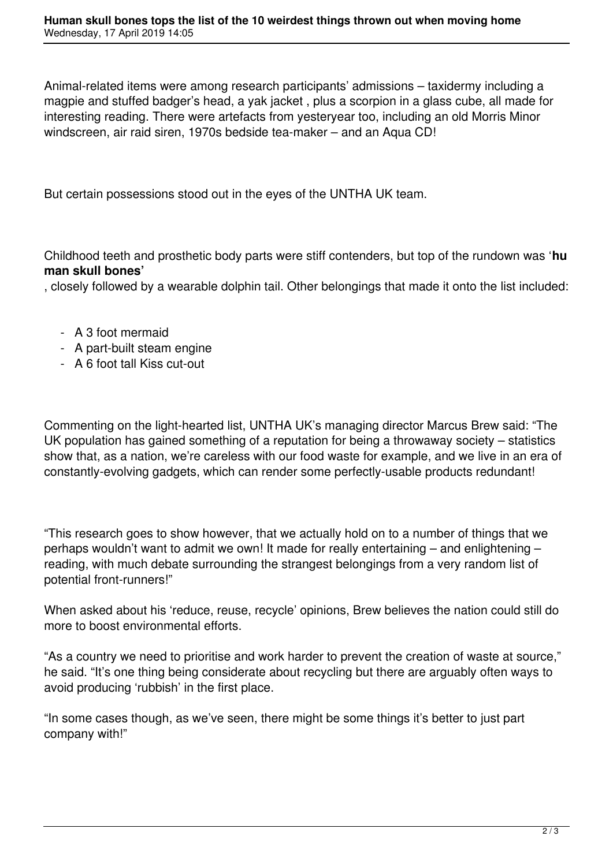Animal-related items were among research participants' admissions – taxidermy including a magpie and stuffed badger's head, a yak jacket , plus a scorpion in a glass cube, all made for interesting reading. There were artefacts from yesteryear too, including an old Morris Minor windscreen, air raid siren, 1970s bedside tea-maker – and an Aqua CD!

But certain possessions stood out in the eyes of the UNTHA UK team.

Childhood teeth and prosthetic body parts were stiff contenders, but top of the rundown was '**hu man skull bones'**

, closely followed by a wearable dolphin tail. Other belongings that made it onto the list included:

- A 3 foot mermaid
- A part-built steam engine
- A 6 foot tall Kiss cut-out

Commenting on the light-hearted list, UNTHA UK's managing director Marcus Brew said: "The UK population has gained something of a reputation for being a throwaway society – statistics show that, as a nation, we're careless with our food waste for example, and we live in an era of constantly-evolving gadgets, which can render some perfectly-usable products redundant!

"This research goes to show however, that we actually hold on to a number of things that we perhaps wouldn't want to admit we own! It made for really entertaining – and enlightening – reading, with much debate surrounding the strangest belongings from a very random list of potential front-runners!"

When asked about his 'reduce, reuse, recycle' opinions, Brew believes the nation could still do more to boost environmental efforts.

"As a country we need to prioritise and work harder to prevent the creation of waste at source," he said. "It's one thing being considerate about recycling but there are arguably often ways to avoid producing 'rubbish' in the first place.

"In some cases though, as we've seen, there might be some things it's better to just part company with!"